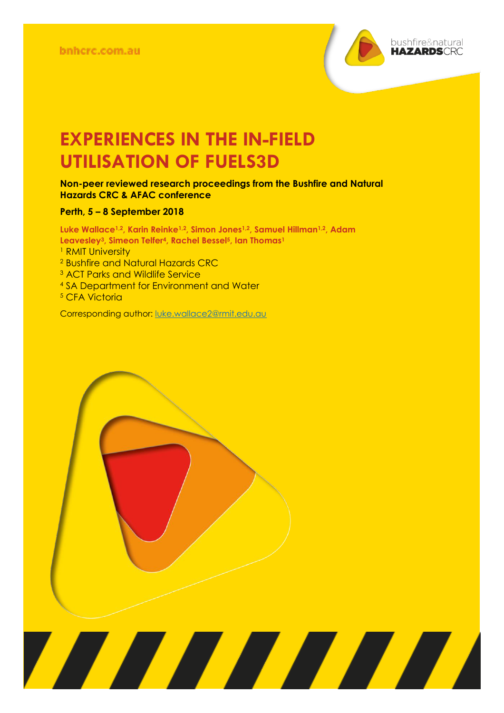

# **EXPERIENCES IN THE IN-FIELD UTILISATION OF FUELS3D**

#### **Non-peer reviewed research proceedings from the Bushfire and Natural Hazards CRC & AFAC conference**

#### **Perth, 5 – 8 September 2018**

**Luke Wallace1,2, Karin Reinke1,2, Simon Jones1,2, Samuel Hillman1,2, Adam Leavesley3, Simeon Telfer4, Rachel Bessel5, Ian Thomas<sup>1</sup>** <sup>1</sup> RMIT University <sup>2</sup> Bushfire and Natural Hazards CRC <sup>3</sup> ACT Parks and Wildlife Service <sup>4</sup> SA Department for Environment and Water

<u> Alian Alian Karena dago dago da karena dago da karena dago da karena dago da karena da karena da karena da k</u>

<sup>5</sup> CFA Victoria

Corresponding author: [luke.wallace2@rmit.edu.au](mailto:luke.wallace2@rmit.edu.au)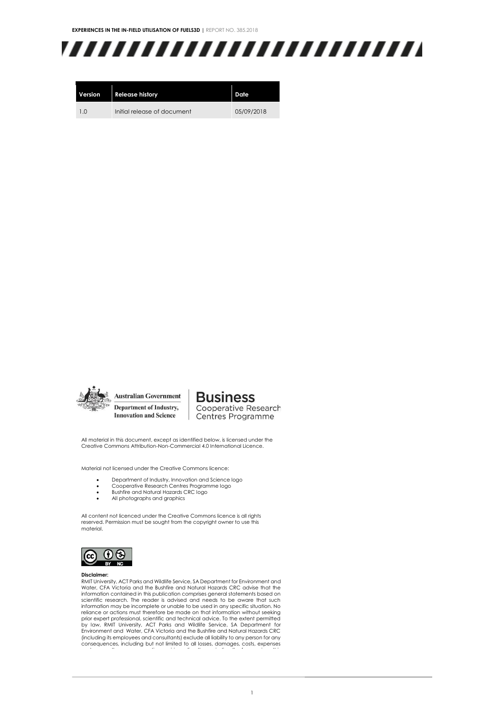**EXPERIENCES IN THE IN-FIELD UTILISATION OF FUELS3D |** REPORT NO. 385.2018

# ,,,,,,,,,,,,,,,,,,,,,,,,,

| Version        | <b>Release history</b>      | Date       |
|----------------|-----------------------------|------------|
| 1 <sub>0</sub> | Initial release of document | 05/09/2018 |



#### **Business** Cooperative Research

Centres Programme

All material in this document, except as identified below, is licensed under the Creative Commons Attribution-Non-Commercial 4.0 International Licence.

Material not licensed under the Creative Commons licence:

- Department of Industry, Innovation and Science logo<br>• Cooperative Research Centres Programme logo
- Cooperative Research Centres Programme logo Bushfire and Natural Hazards CRC logo
- Bushfire and Natural Hazards C<br>• All photographs and graphics
- 

All content not licenced under the Creative Commons licence is all rights reserved. Permission must be sought from the copyright owner to use this material.



Bushfire and Natural Hazards CRC

#### **Disclaimer:**

RMIT University, ACT Parks and Wildlife Service, SA Department for Environment and Water, CFA Victoria and the Bushfire and Natural Hazards CRC advise that the information contained in this publication comprises general statements based on scientific research. The reader is advised and needs to be aware that such information may be incomplete or unable to be used in any specific situation. No reliance or actions must therefore be made on that information without seeking prior expert professional, scientific and technical advice. To the extent permitted<br>by law, RMIT University, ACT Parks and Wildlife Service, SA Department for<br>Environment and Water, CFA Victoria and the Bushfire and Natura consequences, including but not limited to all losses, damages, costs, expenses and any other compensation, arising directly or indirectly from using this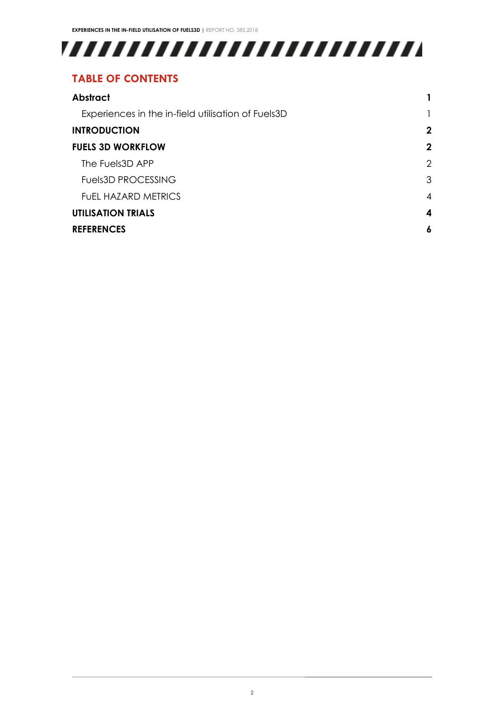# 

### **TABLE OF CONTENTS**

| <b>Abstract</b>                                    |   |
|----------------------------------------------------|---|
| Experiences in the in-field utilisation of Fuels3D |   |
| <b>INTRODUCTION</b>                                |   |
| <b>FUELS 3D WORKFLOW</b>                           |   |
| The Fuels3D APP                                    | 2 |
| <b>Fuels3D PROCESSING</b>                          | 3 |
| FUEL HAZARD METRICS                                | 4 |
| <b>UTILISATION TRIALS</b>                          |   |
| <b>REFERENCES</b>                                  |   |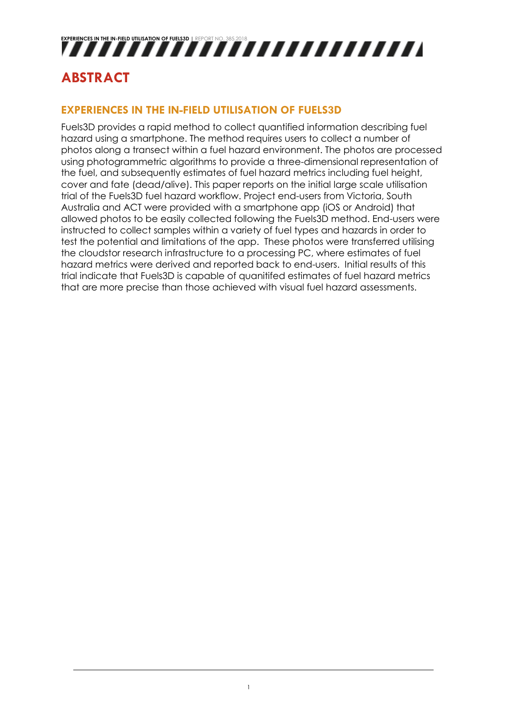# **EXPERIENCES IN THE IN-FIELD UTILISATION OF FUELD UTILISATION OF FUELD UTILISATION OF FUELD UTILISATION OF FUEL**

# <span id="page-3-0"></span>**ABSTRACT**

#### <span id="page-3-1"></span>**EXPERIENCES IN THE IN-FIELD UTILISATION OF FUELS3D**

Fuels3D provides a rapid method to collect quantified information describing fuel hazard using a smartphone. The method requires users to collect a number of photos along a transect within a fuel hazard environment. The photos are processed using photogrammetric algorithms to provide a three-dimensional representation of the fuel, and subsequently estimates of fuel hazard metrics including fuel height, cover and fate (dead/alive). This paper reports on the initial large scale utilisation trial of the Fuels3D fuel hazard workflow. Project end-users from Victoria, South Australia and ACT were provided with a smartphone app (iOS or Android) that allowed photos to be easily collected following the Fuels3D method. End-users were instructed to collect samples within a variety of fuel types and hazards in order to test the potential and limitations of the app. These photos were transferred utilising the cloudstor research infrastructure to a processing PC, where estimates of fuel hazard metrics were derived and reported back to end-users. Initial results of this trial indicate that Fuels3D is capable of quanitifed estimates of fuel hazard metrics that are more precise than those achieved with visual fuel hazard assessments.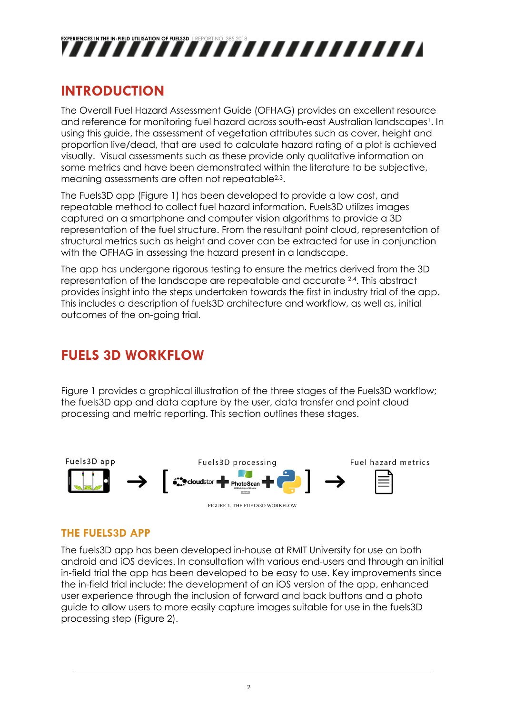

### <span id="page-4-0"></span>**INTRODUCTION**

The Overall Fuel Hazard Assessment Guide (OFHAG) provides an excellent resource and reference for monitoring fuel hazard across south-east Australian landscapes<sup>1</sup>. In using this guide, the assessment of vegetation attributes such as cover, height and proportion live/dead, that are used to calculate hazard rating of a plot is achieved visually. Visual assessments such as these provide only qualitative information on some metrics and have been demonstrated within the literature to be subjective, meaning assessments are often not repeatable<sup>2,3</sup>.

The Fuels3D app (Figure 1) has been developed to provide a low cost, and repeatable method to collect fuel hazard information. Fuels3D utilizes images captured on a smartphone and computer vision algorithms to provide a 3D representation of the fuel structure. From the resultant point cloud, representation of structural metrics such as height and cover can be extracted for use in conjunction with the OFHAG in assessing the hazard present in a landscape.

The app has undergone rigorous testing to ensure the metrics derived from the 3D representation of the landscape are repeatable and accurate 2,4 . This abstract provides insight into the steps undertaken towards the first in industry trial of the app. This includes a description of fuels3D architecture and workflow, as well as, initial outcomes of the on-going trial.

### <span id="page-4-1"></span>**FUELS 3D WORKFLOW**

Figure 1 provides a graphical illustration of the three stages of the Fuels3D workflow; the fuels3D app and data capture by the user, data transfer and point cloud processing and metric reporting. This section outlines these stages.



#### <span id="page-4-2"></span>**THE FUELS3D APP**

The fuels3D app has been developed in-house at RMIT University for use on both android and iOS devices. In consultation with various end-users and through an initial in-field trial the app has been developed to be easy to use. Key improvements since the in-field trial include; the development of an iOS version of the app, enhanced user experience through the inclusion of forward and back buttons and a photo guide to allow users to more easily capture images suitable for use in the fuels3D processing step (Figure 2).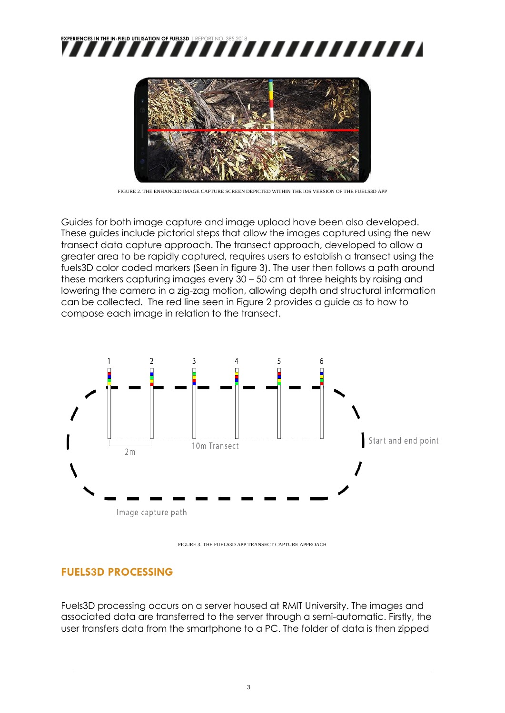



FIGURE 2. THE ENHANCED IMAGE CAPTURE SCREEN DEPICTED WITHIN THE IOS VERSION OF THE FUELS3D APP

Guides for both image capture and image upload have been also developed. These guides include pictorial steps that allow the images captured using the new transect data capture approach. The transect approach, developed to allow a greater area to be rapidly captured, requires users to establish a transect using the fuels3D color coded markers (Seen in figure 3). The user then follows a path around these markers capturing images every 30 – 50 cm at three heights by raising and lowering the camera in a zig-zag motion, allowing depth and structural information can be collected. The red line seen in Figure 2 provides a guide as to how to compose each image in relation to the transect.



FIGURE 3. THE FUELS3D APP TRANSECT CAPTURE APPROACH

#### <span id="page-5-0"></span>**FUELS3D PROCESSING**

Fuels3D processing occurs on a server housed at RMIT University. The images and associated data are transferred to the server through a semi-automatic. Firstly, the user transfers data from the smartphone to a PC. The folder of data is then zipped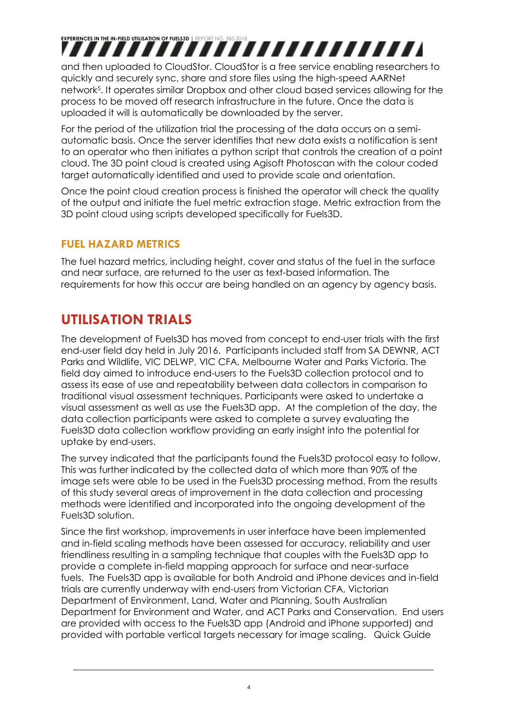# **EXPERIENCES IN THE IN-FIELD UTILISATION OF FUELS IN FIELD UTILISATION OF FUELD UTILISATION OF FUELD UTILISATIO**

and then uploaded to CloudStor. CloudStor is a free service enabling researchers to quickly and securely sync, share and store files using the high-speed AARNet network<sup>5</sup> . It operates similar Dropbox and other cloud based services allowing for the process to be moved off research infrastructure in the future. Once the data is uploaded it will is automatically be downloaded by the server.

For the period of the utilization trial the processing of the data occurs on a semiautomatic basis. Once the server identifies that new data exists a notification is sent to an operator who then initiates a python script that controls the creation of a point cloud. The 3D point cloud is created using Agisoft Photoscan with the colour coded target automatically identified and used to provide scale and orientation.

Once the point cloud creation process is finished the operator will check the quality of the output and initiate the fuel metric extraction stage. Metric extraction from the 3D point cloud using scripts developed specifically for Fuels3D.

#### <span id="page-6-0"></span>**FUEL HAZARD METRICS**

The fuel hazard metrics, including height, cover and status of the fuel in the surface and near surface, are returned to the user as text-based information. The requirements for how this occur are being handled on an agency by agency basis.

## <span id="page-6-1"></span>**UTILISATION TRIALS**

The development of Fuels3D has moved from concept to end-user trials with the first end-user field day held in July 2016. Participants included staff from SA DEWNR, ACT Parks and Wildlife, VIC DELWP, VIC CFA, Melbourne Water and Parks Victoria. The field day aimed to introduce end-users to the Fuels3D collection protocol and to assess its ease of use and repeatability between data collectors in comparison to traditional visual assessment techniques. Participants were asked to undertake a visual assessment as well as use the Fuels3D app. At the completion of the day, the data collection participants were asked to complete a survey evaluating the Fuels3D data collection workflow providing an early insight into the potential for uptake by end-users.

The survey indicated that the participants found the Fuels3D protocol easy to follow. This was further indicated by the collected data of which more than 90% of the image sets were able to be used in the Fuels3D processing method. From the results of this study several areas of improvement in the data collection and processing methods were identified and incorporated into the ongoing development of the Fuels3D solution.

Since the first workshop, improvements in user interface have been implemented and in-field scaling methods have been assessed for accuracy, reliability and user friendliness resulting in a sampling technique that couples with the Fuels3D app to provide a complete in-field mapping approach for surface and near-surface fuels. The Fuels3D app is available for both Android and iPhone devices and in-field trials are currently underway with end-users from Victorian CFA, Victorian Department of Environment, Land, Water and Planning, South Australian Department for Environment and Water, and ACT Parks and Conservation. End users are provided with access to the Fuels3D app (Android and iPhone supported) and provided with portable vertical targets necessary for image scaling. Quick Guide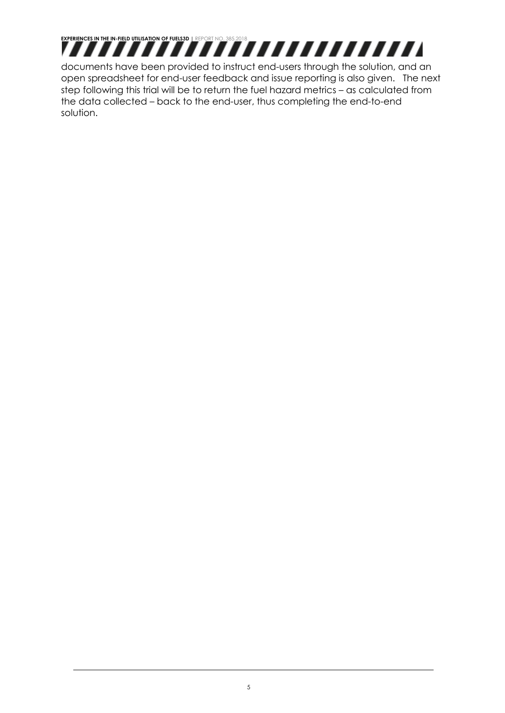

documents have been provided to instruct end-users through the solution, and an open spreadsheet for end-user feedback and issue reporting is also given. The next step following this trial will be to return the fuel hazard metrics – as calculated from the data collected – back to the end-user, thus completing the end-to-end solution.